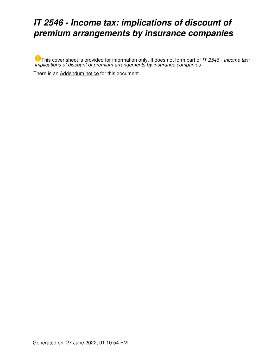## *IT 2546 - Income tax: implications of discount of premium arrangements by insurance companies*

This cover sheet is provided for information only. It does not form part of *IT 2546 - Income tax: implications of discount of premium arrangements by insurance companies*

There is an [Addendum notice](https://www.ato.gov.au/law/view/document?LocID=%22ITR%2FIT2546A%2FNAT%2FATO%2F00001%22&PiT=20170522000001) for this document.